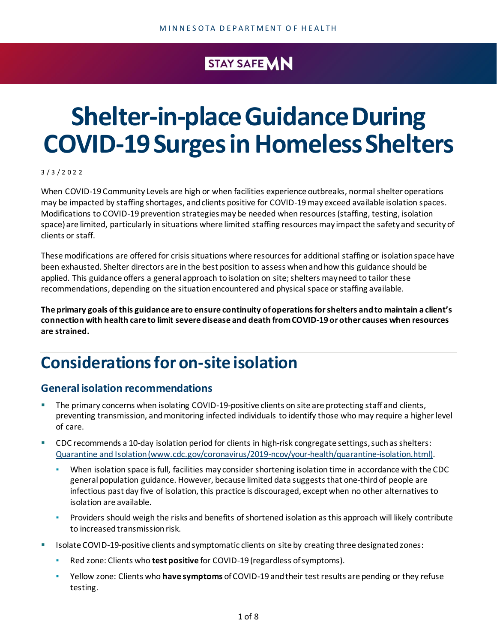### STAY SAFE VIN

# **Shelter-in-place Guidance During COVID-19SurgesinHomelessShelters**

3 / 3 / 2 0 2 2

When COVID-19 Community Levels are high or when facilities experience outbreaks, normal shelter operations may be impacted by staffing shortages, and clients positive for COVID-19 may exceed available isolation spaces. Modifications to COVID-19 prevention strategiesmaybe needed when resources(staffing, testing, isolation space) are limited, particularly in situations where limited staffing resources may impact the safety and securityof clients or staff.

These modifications are offered for crisis situations where resources for additional staffing or isolation space have been exhausted. Shelter directors are in the best position to assess whenandhow this guidance should be applied. This guidance offers a general approach to isolation on site; shelters may need to tailor these recommendations, depending on the situationencountered and physical space or staffing available.

**The primary goals of this guidance are to ensure continuity ofoperationsforshelters andto maintain a client's connection with health care to limit severe disease and death fromCOVID-19 or other causes when resources are strained.**

# **Considerationsfor on-site isolation**

#### **General isolation recommendations**

- The primary concerns when isolating COVID-19-positive clients on site are protecting staff and clients, preventing transmission, andmonitoring infected individuals to identify those who may require a higherlevel of care.
- CDC recommends a 10-day isolation period for clients in high-risk congregate settings, such as shelters: [Quarantine and Isolation \(www.cdc.gov/coronavirus/2019-ncov/your-health/quarantine-isolation.html\).](https://www.cdc.gov/coronavirus/2019-ncov/your-health/quarantine-isolation.html)
	- When isolation space is full, facilities may consider shortening isolation time in accordance with the CDC general population guidance. However, because limited data suggeststhat one-thirdof people are infectious past day five of isolation, this practice is discouraged, except when no other alternatives to isolation are available.
	- Providers should weigh the risks and benefits of shortened isolation as this approach will likely contribute to increased transmission risk.
- **■** Isolate COVID-19-positive clients and symptomatic clients on site by creating three designated zones:
	- Red zone: Clients who **test positive** for COVID-19 (regardless ofsymptoms).
	- Yellow zone: Clients who **have symptoms** ofCOVID-19 andtheir testresults are pending or they refuse testing.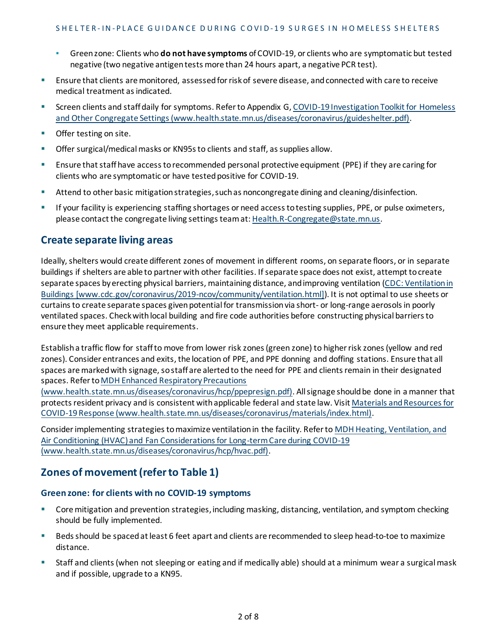- Greenzone: Clients who **do not have symptoms** ofCOVID-19, or clients who are symptomatic but tested negative (two negative antigentests more than 24 hours apart, a negative PCR test).
- **E** Ensure that clients are monitored, assessed for risk of severe disease, and connected with care to receive medical treatment as indicated.
- Screen clients and staff daily for symptoms. Refer to Appendix G, COVID-19 Investigation Toolkit for Homeless and Other Congregate [Settings\(www.health.state.mn.us/diseases/coronavirus/guideshelter.pdf\)](https://www.health.state.mn.us/diseases/coronavirus/guideshelter.pdf).
- Offer testing on site.
- **•** Offer surgical/medical masks or KN95s to clients and staff, as supplies allow.
- **E** Ensure that staff have access to recommended personal protective equipment (PPE) if they are caring for clients who are symptomatic or have tested positive for COVID-19.
- **E** Attend to other basic mitigation strategies, such as noncongregate dining and cleaning/disinfection.
- If your facility is experiencing staffing shortages or need access to testing supplies, PPE, or pulse oximeters, please contact the congregate living settingsteamat: [Health.R-Congregate@state.mn.us](mailto:Health.R-Congregate@state.mn.us).

#### **Create separate living areas**

Ideally, shelters would create different zones of movement in different rooms, on separate floors, or in separate buildings if shelters are able to partner with other facilities. If separate space does not exist, attempt to create separate spaces byerecting physical barriers, maintaining distance, andimproving ventilation [\(CDC: Ventilation in](https://www.cdc.gov/coronavirus/2019-ncov/community/ventilation.html)  [Buildings \[www.cdc.gov/coronavirus/2019-ncov/community/ventilation.html\]\)](https://www.cdc.gov/coronavirus/2019-ncov/community/ventilation.html). It is not optimal to use sheets or curtains to create separate spaces given potential for transmission via short- or long-range aerosols in poorly ventilated spaces. Check with local building and fire code authorities before constructing physical barriers to ensure they meet applicable requirements.

Establish a traffic flow for staff to move from lower risk zones (green zone) to higher risk zones (yellow and red zones). Consider entrances and exits, the location of PPE, and PPE donning and doffing stations. Ensure that all spaces are marked with signage, so staff are alerted to the need for PPE and clients remain in their designated spaces. Refer to MDH Enhanced Respiratory Precautions

[\(www.health.state.mn.us/diseases/coronavirus/hcp/ppepresign.pdf\)](https://www.health.state.mn.us/diseases/coronavirus/hcp/ppepresign.pdf). All signage should be done in a manner that protects resident privacy and is consistent with applicable federal and state law. Visit Materials and Resources for COVID-19 Response [\(www.health.state.mn.us/diseases/coronavirus/materials/index.html\)](https://www.health.state.mn.us/diseases/coronavirus/materials/index.html).

Consider implementing strategies tomaximize ventilationin the facility. Refer t[o MDH Heating, Ventilation, and](https://www.health.state.mn.us/diseases/coronavirus/hcp/hvac.pdf)  [Air Conditioning \(HVAC\) and Fan Considerations for Long-term Care during COVID-19](https://www.health.state.mn.us/diseases/coronavirus/hcp/hvac.pdf)  [\(www.health.state.mn.us/diseases/coronavirus/hcp/hvac.pdf\).](https://www.health.state.mn.us/diseases/coronavirus/hcp/hvac.pdf)

#### **Zones of movement(referto Table 1)**

#### **Greenzone: for clients with no COVID-19 symptoms**

- Core mitigation and prevention strategies, including masking, distancing, ventilation, and symptom checking should be fully implemented.
- Beds should be spaced at least 6 feet apart and clients are recommended to sleep head-to-toe to maximize distance.
- Staff and clients (when not sleeping or eating and if medically able) should at a minimum wear a surgical mask and if possible, upgrade to a KN95.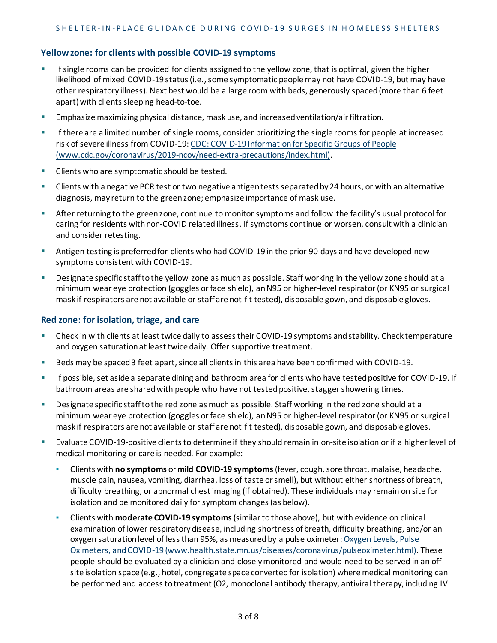#### **Yellowzone: for clients with possible COVID-19 symptoms**

- **■** If single rooms can be provided for clients assigned to the yellow zone, that is optimal, given the higher likelihood of mixed COVID-19 status (i.e., some symptomatic people may not have COVID-19, but may have other respiratory illness). Next best would be a large room with beds, generously spaced(more than 6 feet apart) with clients sleeping head-to-toe.
- **Emphasize maximizing physical distance, mask use, and increased ventilation/air filtration.**
- **■** If there are a limited number of single rooms, consider prioritizing the single rooms for people at increased risk of severe illness from COVID-19: CDC: COVID-19 Information for Specific Groups of People [\(www.cdc.gov/coronavirus/2019-ncov/need-extra-precautions/index.html\).](https://www.cdc.gov/coronavirus/2019-ncov/need-extra-precautions/index.html)
- Clients who are symptomatic should be tested.
- **EXPLOIGNT A DEPT IS NOT THE ISLE A** THE Clients with a negative antigentests separated by 24 hours, or with an alternative diagnosis, may return to the green zone; emphasize importance of mask use.
- After returning to the green zone, continue to monitor symptoms and follow the facility's usual protocol for caring for residents with non-COVID related illness. If symptoms continue or worsen, consult with a clinician and consider retesting.
- Antigen testing is preferred for clients who had COVID-19 in the prior 90 days and have developed new symptoms consistent with COVID-19.
- Designate specific stafftothe yellow zone as much as possible. Staff working in the yellow zone should at a minimum wear eye protection (goggles orface shield), anN95 or higher-level respirator(or KN95 or surgical mask if respirators are not available or staff are not fit tested), disposable gown, and disposable gloves.

#### **Red zone: forisolation, triage, and care**

- Check in with clients at least twice daily to assess their COVID-19 symptoms and stability. Check temperature and oxygen saturation at least twice daily. Offer supportive treatment.
- Beds may be spaced 3 feet apart, since all clients in this area have been confirmed with COVID-19.
- If possible, set aside a separate dining and bathroom area for clients who have tested positive for COVID-19. If bathroom areas are shared with people who have not tested positive, stagger showering times.
- Designate specific stafftothe red zone as much as possible. Staff working in the red zone should at a minimum wear eye protection (goggles or face shield), an N95 or higher-level respirator (or KN95 or surgical mask if respirators are not available or staff are not fit tested), disposable gown, and disposable gloves.
- **Exaluate COVID-19-positive clients to determine if they should remain in on-site isolation or if a higherlevel of** medical monitoring or care is needed. For example:
	- Clients with **no symptoms** or **mild COVID-19 symptoms**(fever, cough,sore throat, malaise, headache, muscle pain, nausea, vomiting, diarrhea, loss of taste orsmell), but without either shortness of breath, difficulty breathing, or abnormal chest imaging (if obtained). These individuals may remain on site for isolation and be monitored daily for symptom changes(as below).
	- Clients with **moderate COVID-19 symptoms**(similartothose above), but with evidence on clinical examination of lower respiratorydisease, including shortness ofbreath, difficulty breathing, and/or an oxygen saturation level of less than 95%, as measured by a pulse oximeter: [Oxygen](https://www.health.state.mn.us/diseases/coronavirus/pulseoximeter.html) Levels, Pulse Oximeters, andCOVID-19 [\(www.health.state.mn.us/diseases/coronavirus/pulseoximeter.html\)](https://www.health.state.mn.us/diseases/coronavirus/pulseoximeter.html). These people should be evaluated by a clinician and closelymonitored and would need to be served in an offsite isolation space (e.g., hotel, congregate space converted for isolation) where medical monitoring can be performed and access to treatment (O2, monoclonal antibody therapy, antiviral therapy, including IV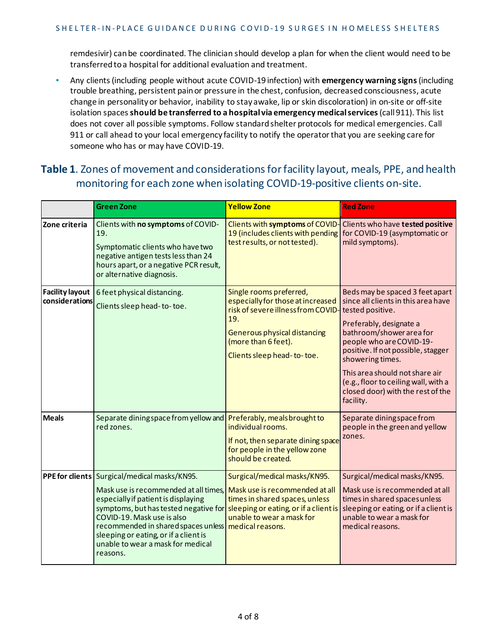remdesivir) canbe coordinated. The clinician should develop a plan for when the client would need to be transferred to a hospital for additional evaluation and treatment.

▪ Any clients(including people without acute COVID-19 infection) with **emergency warning signs**(including trouble breathing, persistent painor pressure in the chest, confusion, decreasedconsciousness, acute change in personalityor behavior, inability to stay awake, lip or skin discoloration) in on-site or off-site isolation spaces**should be transferred to a hospital via emergency medicalservices**(call 911). This list does not cover all possible symptoms. Follow standardshelter protocols for medical emergencies. Call 911 or call ahead to your local emergency facility to notify the operatorthat you are seeking care for someone who has or may have COVID-19.

#### **Table 1**. Zones of movement and considerationsforfacility layout, meals, PPE, and health monitoring for each zone when isolating COVID-19-positive clients on-site.

|                                          | <b>Green Zone</b>                                                                                                                                                                                                                                                                                                                                                                                           | <b>Yellow Zone</b>                                                                                                                                                                             | <b>Red Zone</b>                                                                                                                                                                                                                                                                                                                                                     |
|------------------------------------------|-------------------------------------------------------------------------------------------------------------------------------------------------------------------------------------------------------------------------------------------------------------------------------------------------------------------------------------------------------------------------------------------------------------|------------------------------------------------------------------------------------------------------------------------------------------------------------------------------------------------|---------------------------------------------------------------------------------------------------------------------------------------------------------------------------------------------------------------------------------------------------------------------------------------------------------------------------------------------------------------------|
| Zone criteria                            | Clients with no symptoms of COVID-<br>19.<br>Symptomatic clients who have two<br>negative antigen tests less than 24<br>hours apart, or a negative PCR result,<br>or alternative diagnosis.                                                                                                                                                                                                                 | Clients with symptoms of COVID-<br>19 (includes clients with pending<br>test results, or not tested).                                                                                          | Clients who have tested positive<br>for COVID-19 (asymptomatic or<br>mild symptoms).                                                                                                                                                                                                                                                                                |
| <b>Facility layout</b><br>considerations | 6 feet physical distancing.<br>Clients sleep head-to-toe.                                                                                                                                                                                                                                                                                                                                                   | Single rooms preferred,<br>especially for those at increased<br>risk of severe illness from COVID-<br>19.<br>Generous physical distancing<br>(more than 6 feet).<br>Clients sleep head-to-toe. | Beds may be spaced 3 feet apart<br>since all clients in this area have<br>tested positive.<br>Preferably, designate a<br>bathroom/shower area for<br>people who are COVID-19-<br>positive. If not possible, stagger<br>showering times.<br>This area should not share air<br>(e.g., floor to ceiling wall, with a<br>closed door) with the rest of the<br>facility. |
| <b>Meals</b>                             | Separate dining space from yellow and Preferably, meals brought to<br>red zones.                                                                                                                                                                                                                                                                                                                            | individual rooms.<br>If not, then separate dining space<br>for people in the yellow zone<br>should be created.                                                                                 | Separate diningspace from<br>people in the green and yellow<br>zones.                                                                                                                                                                                                                                                                                               |
|                                          | PPE for clients   Surgical/medical masks/KN95.<br>Mask use is recommended at all times, Mask use is recommended at all<br>especially if patient is displaying<br>symptoms, but has tested negative for sleeping or eating, or if a client is<br>COVID-19. Mask use is also<br>recommended in shared spaces unless<br>sleeping or eating, or if a client is<br>unable to wear a mask for medical<br>reasons. | Surgical/medical masks/KN95.<br>times in shared spaces, unless<br>unable to wear a mask for<br>medical reasons.                                                                                | Surgical/medical masks/KN95.<br>Mask use is recommended at all<br>times in shared spaces unless<br>sleeping or eating, or if a client is<br>unable to wear a mask for<br>medical reasons.                                                                                                                                                                           |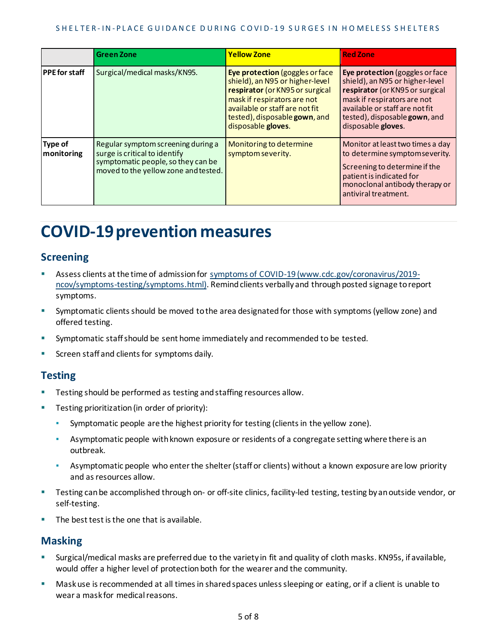|                              | <b>Green Zone</b>                                                                                                                                 | <b>Yellow Zone</b>                                                                                                                                                                                                            | <b>Red Zone</b>                                                                                                                                                                                                               |
|------------------------------|---------------------------------------------------------------------------------------------------------------------------------------------------|-------------------------------------------------------------------------------------------------------------------------------------------------------------------------------------------------------------------------------|-------------------------------------------------------------------------------------------------------------------------------------------------------------------------------------------------------------------------------|
| <b>PPE</b> for staff         | Surgical/medical masks/KN95.                                                                                                                      | Eye protection (goggles or face<br>shield), an N95 or higher-level<br>respirator (or KN95 or surgical<br>mask if respirators are not<br>available or staff are not fit<br>tested), disposable gown, and<br>disposable gloves. | Eye protection (goggles or face<br>shield), an N95 or higher-level<br>respirator (or KN95 or surgical<br>mask if respirators are not<br>available or staff are not fit<br>tested), disposable gown, and<br>disposable gloves. |
| <b>Type of</b><br>monitoring | Regular symptom screening during a<br>surge is critical to identify<br>symptomatic people, so they can be<br>moved to the yellow zone and tested. | Monitoring to determine<br>symptom severity.                                                                                                                                                                                  | Monitor at least two times a day<br>to determine symptom severity.<br>Screening to determine if the<br>patient is indicated for<br>monoclonal antibody therapy or<br>antiviral treatment.                                     |

## **COVID-19 prevention measures**

#### **Screening**

- Assess clients at the time of admission for [symptoms of COVID-19 \(www.cdc.gov/coronavirus/2019](https://www.cdc.gov/coronavirus/2019-ncov/symptoms-testing/symptoms.html) [ncov/symptoms-testing/symptoms.html\)](https://www.cdc.gov/coronavirus/2019-ncov/symptoms-testing/symptoms.html). Remind clients verbally and through posted signage to report symptoms.
- Symptomatic clients should be moved to the area designated for those with symptoms (yellow zone) and offered testing.
- Symptomatic staff should be sent home immediately and recommended to be tested.
- Screen staff and clients for symptoms daily.

#### **Testing**

- Testing should be performed as testing and staffing resources allow.
- **EXECT:** Testing prioritization (in order of priority):
	- Symptomatic people are the highest priority for testing (clients in the yellow zone).
	- **•** Asymptomatic people with known exposure or residents of a congregate setting where there is an outbreak.
	- **EX Asymptomatic people who enter the shelter (staff or clients) without a known exposure are low priority** and as resources allow.
- Testing can be accomplished through on- or off-site clinics, facility-led testing, testing by an outside vendor, or self-testing.
- The best test is the one that is available.

#### **Masking**

- Surgical/medical masks are preferred due to the variety in fit and quality of cloth masks. KN95s, if available, would offer a higher level of protection both for the wearer and the community.
- Mask use is recommended at all times in shared spaces unless sleeping or eating, or if a client is unable to wear a mask for medical reasons.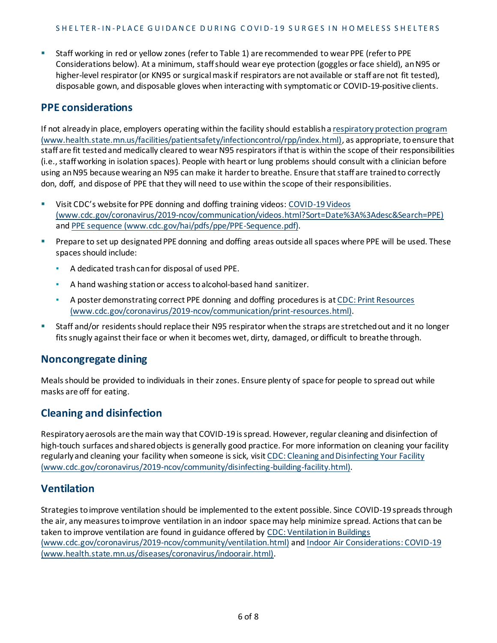▪ Staff working in red or yellow zones (referto Table 1) are recommended to wear PPE (referto PPE Considerations below). At a minimum, staffshould wear eye protection (goggles orface shield), anN95 or higher-level respirator (or KN95 or surgical mask if respirators are not available or staff are not fit tested), disposable gown, and disposable gloves when interacting with symptomatic or COVID-19-positive clients.

#### **PPE considerations**

If not already in place, employers operating within the facility should establish a respiratory protection program [\(www.health.state.mn.us/facilities/patientsafety/infectioncontrol/rpp/index.html\),](https://www.health.state.mn.us/facilities/patientsafety/infectioncontrol/rpp/index.html) as appropriate, toensure that staff are fit tested and medically cleared to wear N95 respirators if that is within the scope of their responsibilities (i.e., staff working in isolation spaces). People with heart or lung problems should consult with a clinician before using an N95 because wearing an N95 can make it harder to breathe. Ensure that staff are trained to correctly don, doff, and dispose of PPE that they will need to use within the scope of their responsibilities.

- **EXECUC**'s website for PPE donning and doffing training videos: COVID-19 Videos [\(www.cdc.gov/coronavirus/2019-ncov/communication/videos.html?Sort=Date%3A%3Adesc&Search=PPE\)](https://www.cdc.gov/coronavirus/2019-ncov/communication/videos.html?Sort=Date%3A%3Adesc&Search=PPE) and [PPE sequence \(www.cdc.gov/hai/pdfs/ppe/PPE-Sequence.pdf\).](https://www.cdc.gov/hai/pdfs/ppe/PPE-Sequence.pdf)
- **•** Prepare to set up designated PPE donning and doffing areas outside all spaces where PPE will be used. These spaces should include:
	- A dedicated trashcanfor disposal of used PPE.
	- A hand washing stationor accesstoalcohol-based hand sanitizer.
	- **A poster demonstrating correct PPE donning and doffing procedures is at CDC: Print [Resources](https://www.cdc.gov/coronavirus/2019-ncov/communication/print-resources.html)** [\(www.cdc.gov/coronavirus/2019-ncov/communication/print-resources.html\).](https://www.cdc.gov/coronavirus/2019-ncov/communication/print-resources.html)
- Staff and/or residents should replace their N95 respirator when the straps are stretched out and it no longer fits snugly against their face or when it becomes wet, dirty, damaged, or difficult to breathe through.

#### **Noncongregate dining**

Mealsshould be provided to individuals in their zones. Ensure plenty of space for people to spread out while masks are off for eating.

#### **Cleaning and disinfection**

Respiratory aerosols are themain way that COVID-19 isspread. However, regular cleaning and disinfection of high-touch surfaces and shared objects is generally good practice. For more information on cleaning your facility regularly and cleaning your facility when someone is sick, visit CDC: Cleaning and Disinfecting Your Facility [\(www.cdc.gov/coronavirus/2019-ncov/community/disinfecting-building-facility.html\).](https://www.cdc.gov/coronavirus/2019-ncov/community/disinfecting-building-facility.html)

#### **Ventilation**

Strategies to improve ventilation should be implemented to the extent possible. Since COVID-19 spreads through the air, any measures to improve ventilation in an indoor space may help minimize spread. Actions that can be taken to improve ventilation are found in guidance offered by CDC: [Ventilationin](https://www.cdc.gov/coronavirus/2019-ncov/community/ventilation.html) Buildings [\(www.cdc.gov/coronavirus/2019-ncov/community/ventilation.html\)](https://www.cdc.gov/coronavirus/2019-ncov/community/ventilation.html) and [Indoor Air Considerations: COVID-19](https://www.health.state.mn.us/diseases/coronavirus/indoorair.html)  [\(www.health.state.mn.us/diseases/coronavirus/indoorair.html\)](https://www.health.state.mn.us/diseases/coronavirus/indoorair.html).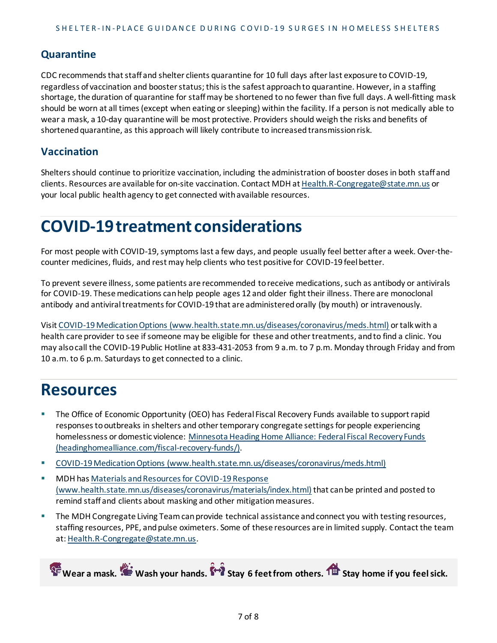#### **Quarantine**

CDC recommends that staff and shelter clients quarantine for 10 full days after last exposure to COVID-19, regardless of vaccination and booster status; this is the safest approach to quarantine. However, in a staffing shortage, the duration of quarantine for staff may be shortened to no fewer than five full days. A well-fitting mask should be worn at all times (except when eating or sleeping) within the facility. If a person is not medically able to wear a mask, a 10-day quarantine will be most protective. Providers should weigh the risks and benefits of shortened quarantine, as this approach will likely contribute to increased transmission risk.

#### **Vaccination**

Shelters should continue to prioritize vaccination, including the administration of booster doses in both staff and clients. Resources are available for on-site vaccination. Contact MDH at [Health.R-Congregate@state.mn.us](mailto:Health.R-Congregate@state.mn.us) or your local public health agency to get connected with available resources.

# **COVID-19 treatment considerations**

For most people with COVID-19, symptoms last a few days, and people usually feel better after a week. Over-thecounter medicines, fluids, and rest may help clients who test positive for COVID-19 feel better.

To prevent severe illness, some patients are recommended to receive medications, such as antibody or antivirals for COVID-19. These medications can help people ages 12 and older fight their illness. There are monoclonal antibody and antiviral treatments for COVID-19 that are administered orally (by mouth) or intravenously.

Visi[t COVID-19 Medication Options \(www.health.state.mn.us/diseases/coronavirus/meds.html\)](https://www.health.state.mn.us/diseases/coronavirus/meds.html) or talk with a health care provider to see if someone may be eligible for these and other treatments, and to find a clinic. You may also call the COVID-19 Public Hotline at 833-431-2053 from 9 a.m. to 7 p.m. Monday through Friday and from 10 a.m. to 6 p.m. Saturdays to get connected to a clinic.

## **Resources**

- The Office of Economic Opportunity (OEO) has Federal Fiscal Recovery Funds available to support rapid responses to outbreaks in shelters and other temporary congregate settings for people experiencing homelessness or domestic violence: [Minnesota Heading Home Alliance: Federal Fiscal Recovery Funds](https://headinghomealliance.com/fiscal-recovery-funds/)  [\(headinghomealliance.com/fiscal-recovery-funds/\).](https://headinghomealliance.com/fiscal-recovery-funds/)
- [COVID-19 Medication Options \(www.health.state.mn.us/diseases/coronavirus/meds.html\)](https://www.health.state.mn.us/diseases/coronavirus/meds.html)
- MDH has Materials and Resources for COVID-19 Response [\(www.health.state.mn.us/diseases/coronavirus/materials/index.html\)](https://www.health.state.mn.us/diseases/coronavirus/materials/index.html) that can be printed and posted to remind staff and clients about masking and other mitigation measures.
- **The MDH Congregate Living Team can provide technical assistance and connect you with testing resources,** staffing resources, PPE, and pulse oximeters. Some of these resources are in limited supply. Contact the team at[: Health.R-Congregate@state.mn.us](mailto:Health.R-Congregate@state.mn.us).